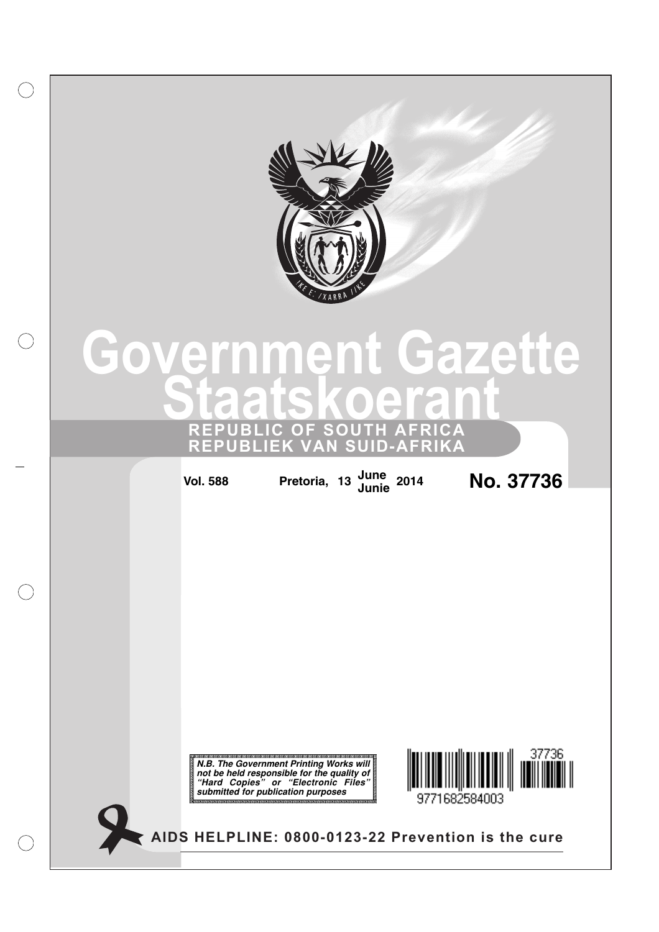